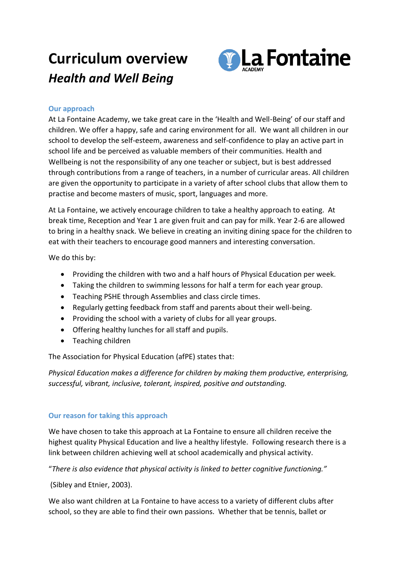## **Curriculum overview** *Health and Well Being*



## **Our approach**

At La Fontaine Academy, we take great care in the 'Health and Well-Being' of our staff and children. We offer a happy, safe and caring environment for all. We want all children in our school to develop the self-esteem, awareness and self-confidence to play an active part in school life and be perceived as valuable members of their communities. Health and Wellbeing is not the responsibility of any one teacher or subject, but is best addressed through contributions from a range of teachers, in a number of curricular areas. All children are given the opportunity to participate in a variety of after school clubs that allow them to practise and become masters of music, sport, languages and more.

At La Fontaine, we actively encourage children to take a healthy approach to eating. At break time, Reception and Year 1 are given fruit and can pay for milk. Year 2-6 are allowed to bring in a healthy snack. We believe in creating an inviting dining space for the children to eat with their teachers to encourage good manners and interesting conversation.

We do this by:

- Providing the children with two and a half hours of Physical Education per week.
- Taking the children to swimming lessons for half a term for each year group.
- Teaching PSHE through Assemblies and class circle times.
- Regularly getting feedback from staff and parents about their well-being.
- Providing the school with a variety of clubs for all year groups.
- Offering healthy lunches for all staff and pupils.
- Teaching children

The Association for Physical Education (afPE) states that:

*Physical Education makes a difference for children by making them productive, enterprising, successful, vibrant, inclusive, tolerant, inspired, positive and outstanding.*

## **Our reason for taking this approach**

We have chosen to take this approach at La Fontaine to ensure all children receive the highest quality Physical Education and live a healthy lifestyle. Following research there is a link between children achieving well at school academically and physical activity.

"*There is also evidence that physical activity is linked to better cognitive functioning."*

(Sibley and Etnier, 2003).

We also want children at La Fontaine to have access to a variety of different clubs after school, so they are able to find their own passions. Whether that be tennis, ballet or